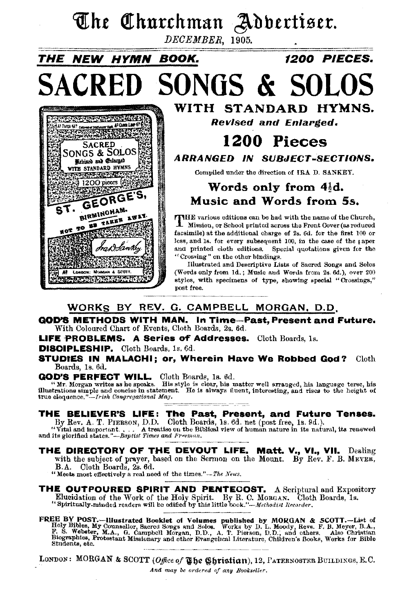## The Churchman Adbertiser.

DECEMBER, 1905.

## THE NEW HYMN BOOK. 1200 PIECES. SACRED SONGS & SOLOS



WITH STANDARD HYMNS. Revised and Enlarged. 1200 Pieces ARRANGED IN SUBJECT-SECTIONS. Compiled under the direction of IRA D. SANKEY.

### Words only from  $4\frac{1}{2}d$ . Music and Words from Ss.

THE various editions can be had with the name of the Church, Mission, or School printed across the Front Cover(aa reduced facsimile) at the additional charge of 2s. 6d. for the first 100 or less, and ls. for every subsequent 100, In the case of the 1 apor and printed cloth editions. Special quotations given for the "Crossing" on the other bindings.

Illustrated and Descriptive Lists of Sacred Songs and Solos (Words only from ld.; Muaic and Words from 2s. 6d,), over 200 styles, with specimens of type, showing special "Crossings," post free.

#### WORKS BY REV. G. CAMPBELL MORGAN, D.O.

GOD'S METHODS WITH MAN. In Time-Past, Present and Future. With Coloured Chart of Events, Cloth Boards, 2s. 6d.

LIFE PROBLEMS. A Series of Addresses. Cloth Boards, 1s.

#### DISCIPLESHIP. Cloth Boards, ls. 6d.

STUDIES IN MALACHI; or, Wherein Have We Robbed God? Cloth Boards, ls. 6d.

GOD'S PERFECT WILL. Cloth Boards, ls. 6d. "Mr. Morgan writes as he speaks. His style is clear, his matter well arranged, his langusge terse, his illustrations simple and concise in statement. He is always fluent, interesting, and rises to the height of true eloquence." $-I$ rish Congregational Mag.

## **THE BELIEVER'S LIFE: The Past, Present, and Future Tenses.**<br>By Rev. A. T. PIERSON, D.D. Cloth Boards, 1s. 6d. net (post free, 1s. 9d.).<br>"Vital and important.... A treatise on the Biblical view of human nature in its natur

<sup>12</sup> Vital and important. . . . . A treatise on the Bi and its glorified states."-Baptist Times and Fr-eman.

#### ~---~------------~ THE DIRECTORY OF THE DEVOUT LIFE. Matt. V., VI., VII. Dealing with the subject of prayer, based on the Sermon on the Mount. By Rev. F. B. MEYER, B.A. Cloth Boards, 2s. 6d.

"Meets most effectively a real need of the times."-The News.

THE OUTPOURED SPIRIT AND PENTECOST. A Scriptural and Expository Elucidation of the Work of the Holy Spirit. By R. C. MOBGAN. Cloth Boards, 1s. <sup>\*</sup><br>"Spiritually-minded readers will be edified by this little book."-*-Methodist Recorder*.

FREE BY POST.—Illustrated Booklet of Volumes published by MORGAN & SCOTT.—List of Holy Bibles, My Counsellor, Sacred Songs and Solos. Works by D. L. Moody, Rovs. F. B. Meyer, B.A., F. S. Webster, M.A., G. Campbell Morgan, Students, etc.

LONDON: MORGAN & SCOTT *(Office of The Christian)*, 12, PATERNOSTER BUILDINGS, E.C. *And may be ordered of any Bool.:seller.*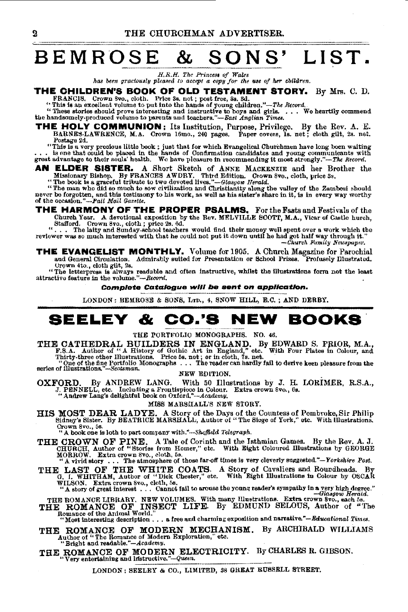### **BEMROSE** & **SONS' LIST.** --------------------------- *H.R.H. The* PrinceS~ *of Wales*

*H.R.H. The Princess of Wales*<br>has been graciously pleased to accept a copy for the use of her children.

#### **THE CHILDREN'S BOOK OF OLD TESTAMENT STORY.** By Mrs. C. D.

FRANCIS. Crown Svo., cloth. Price 3s. net; post free, 3s. 3d.<br>
"The is an excellent volume to put into the hands of young children."—The Record.<br>
"These stories should prove interesting and instructive to boys and girls.

**THE HOLY COMMUNION:** Its Institution, Purpose, Privilege. By the Rev. A. E. BARNES-LAWRENCE, M.A. Crown l6mo., 240 pages. Paper covers, Is. net; cloth gUt, 2s. net. Postsge 2d.

This is a very precious little book ; just that for which Evangelical Churchmen have long been waiting . . . is one reaction of the hands of Confirmation candidates and young communicants with<br>great advantage to their soul

AN ELDER SISTER. A Short Sketch of ANNE MACKENZIE and her Brother the Missionary Bishop. By FRANCES AWDRY. Third Edition. Crown Svo., cloth, price 3s.<br>"The book is a graceful tribute to two devoted lives."—Glasgow Herald.

The book is a gracerul tribute to two devoted fives.  $-$  *Hashow Herald.*<br>
"The man who did so much to sow civilization and Christianity slong the valley of the Zambesi should<br>
never be forgotten, and this testimony to hi

**THE HARMONY OF THE PROPER PSALMS.** For the Fasts and Festivals of the Church Year. A devotional exposition by the Rev. MELVILLE SCOTT, M.A., Vicar of Castle hurch,

Church Year. A devotional exposition by the Rev. MELVILLE SCOTT, M.A., Vicar of Castle hurch,<br>Stafford. Crown 8vo., cloth; price 2s. 6d.<br>"... The latty and Sunday-school teachers would find their money well spent over a w

**THE EVANGELIST MONTHLY.** Volume for 1905. A Church Magazine for Parochial and General Circulation. Admirably suited for Presentation or School Prizes. Profusely Illustrated. Urown 4to., cloth gilt, 2s.

"The letterpress is always readable and often instructive, whilst the illustrations form not the least attractive feature in the volume."--Record.

**Complete Catalogue will be sent on application.** 

LONDON: BEMROSE & SONS, LTD., 4, SNOW HILL, E.C. ; AND DERBY.

### **SEELEY & CO.'S NEW BOOKS**

THE PORTFOLIO MONOGRAPHS. NO. 46.

THE CATHEDRAL BUILDERS IN ENGLAND. By EDWARD S. PRIOR, M.A., F.S.A. Author of "A History of Gothic Art in England," etc. With Four Plates in Colour, and Thirty-three other Illustrations. Prior 54. net; or in clouth, 7s. ne

"One of the fine Portfolio Monographs . . . The reader can hardly fail to derive keen pleasure from the series of illustrations."-Scotsman.

NEW EDITION.<br>With 50 Illustrations by J. H. LORIMER, R.S.A., OXFORD. By ANDREW LANG. With 50 Illustrations by J. H. LORIMER, R.S.A., J. PENNELL, etc. Including a Frontispiece in Colour. Extra crown Svo., 6s. The Mandrew Lang's delightful book on Oxford."--Academy. Extra crown Svo.,

MISS MARSHALL'S NEW STORY.

HIS MOST DEAR LADYE. A Story of the Days of the Countess of Pembroke, Sir Philip Sidney's Sister. By BEATRICE MARSHALL, Author of "The Sioge of York," etc. With illustrations. Crown 8vo., 5s.<br>"A book one is loth to part company with."-Sheffield Telegraph.

THE CROWN OF PINE. A Tale of Corinth and the Isthmian Games. By the Rev. A. J. CHURCH, Author of "Stories from Homer," etc. With Eight Coloured Illustrations by GEORGE MORROW. Extra crown Svo., cloth, 5s.<br>MORROW. Extra cro

THE LAST OF THE WHITE COATS. A Story of Cavaliers and Roundheads. By G. 1. WHITHAM, Author of "Dick Chester," etc. With Eight Illustrations in Colour by OSCAR

WILSON. Extra crown Svo., cloth, 5s.<br>"A story of great interest ... Cannot fail to arouse the young reader's sympathy in a very high degree."

THE ROMANCE LIBRARY. NEW VOLUMES. With many Illustrations. Extra crown 8vo., each 5s.<br>THE ROMANCE OF INSECT LIFE. By EDMUND SELOUS, Author of "The<br>Romance of the Animal World."

"Most interesting description . . . a free and charming exposition and narrative."-Educational Times.

THE ROMANCE OF MODERN MECHANISM. By ARCHIBALD WILLIAMS<br>Author of "The Romance of Modern Exploration," etc.<br>"Bright and readable."-Academy.

THE ROMANCE OF MODERN ELECTRICITY. By CHARLES R. GIBSON.<br>"Very entertaining and lastructive."-Queen.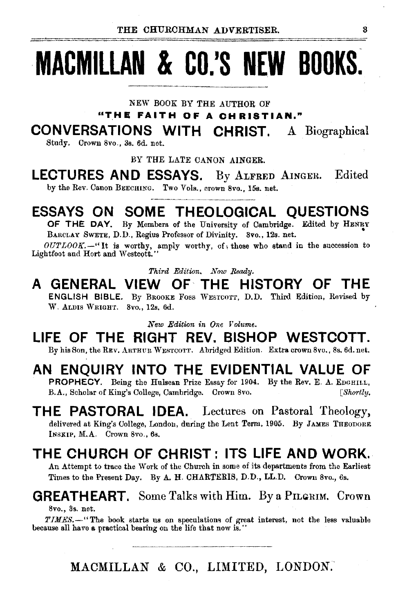# **MACMILLAN & CO.'S NEW BOOKS.**

NEW BOOK BY THE AUTHOR OF

**"TH E FAIT H 0 F A C H R I 8 T IAN."** 

**CONVERSATIONS WITH CHRIST.** A Biographical

Study. Crown 8vo., 3s. 6d. net.

BY THE LATE CANON AINGER.

**LECTURES AND ESSAYS.** By ALFRED AINGER. Edited by the Rev. Canon BEECHING. Two Vols., crown 8vo., 15s. net.

### **ESSAYS ON SOME THEOLOGICAL QUESTIONS**

OF THE DAY. By Members of the University of Cambridge. Edited by HENRY BARCLAY SWETE, D.D., Regius Professor of Divinity. 8vo., 12s. net.

*OUTLOOK.*-"It is worthy, amply worthy, of those who stand in the succession to Lightfoot and Hort and Westcott.

*Third Edition. Now Ready.* 

#### **A GENERAL VIEW OF THE HISTORY OF THE**  ENGLISH BIBLE. By BROOKE Foss WESTCOTT, D.D. Third Edition, Revised by W. ALDIS WRIGHT. 8vo., 12s. 6d.

*New Edition in One Volume.* 

**LIFE OF THE RIGHT REV. BISHOP WESTCOTT.**  By his Son, the REv. ARTHUR WEsTcoTT. Abridged Edition. Extra. crown 8vo., 8s. 6d. net.

### **AN ENQUIRY INTO THE EVIDENTIAL VALUE OF**

PROPHECY. Being the Hulsean Prize Essay for 1904. By the Rev. E. A. EDGHILL, B.A., Scholar of King's College, Cambridge. Crown 8vo. [Shortly.

**THE PASTORAL IDEA.** Lectures on Pastoral Theology, delivered at King's College, London, during the Lent Term, 1905. By JAMES THEODORE INsKIP, M.A. Crown 8vo., 6s.

### **THE CHURCH OF CHRIST: ITS LIFE AND WORK.**

An Attempt to trace the Work of the Church in some of its departments from the Earliest Times to the Present Day. By A. H. CHARTERIS, D.D., LL.D. Crown 8vo., 6s.

### **GREATHEART.** Some Talks with Him. By a PILGRIM. Crown

8vo., 3s. net.

*TIMES.-"The* book starts us on speculations of great interest, not the less valuable because all have a practical bearing on the life that now is.''

MACMILLAN & CO., LIMITED, LONDON.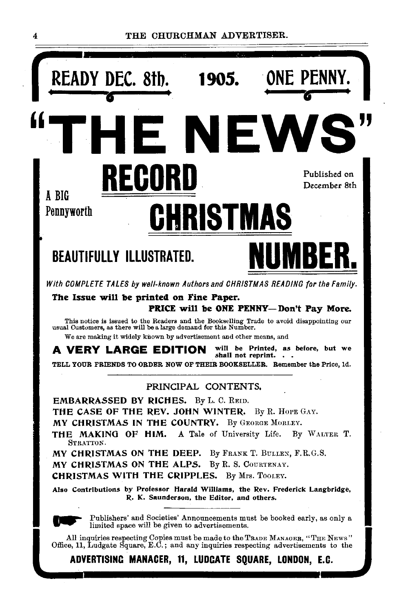

4 THE CHURCHMAN ADVERTISER.

CHRISTMAS WITH THE CRIPPLES. By Mrs. TOOLEY.

n.

Also Contributions by Professor Harald Williams, the Rev. Frederick Langbridge, R. K. Saunderson, the Editor, and others.

Publishers' and Societies' Announcements must be booked early, as only a limited space will be given to advertisements.

All inquiries respecting Copies must be made to the TRADE MANAGER, "THE NEws" Office, 11, Ludgate Square, E.C.; and any inquiries respecting advertisements to the

ADVERTISING MANAGER, 11, LUDCATE SQUARE, LONDON, E.C.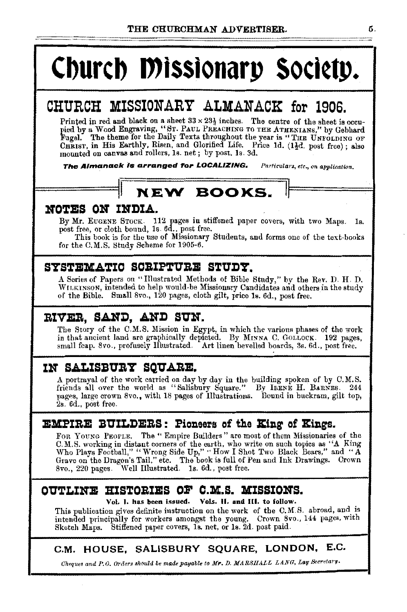# Church Missionary Society.

### CHURCH MISSIONARY ALMANACK for 1906.

Printed in red and black on a sheet  $33 \times 23\frac{1}{2}$  inches. The centre of the sheet is occu-Fringed in red and mack on a succe to a 2ng modes. The centre of the sheet is occu-<br>pied by a Wood Engraving, "Sr. PAUL PREACHING TO THE ATHENIANS," by Gebhard<br>Fugel. The theme for the Daily Texts throughout the year is "T CHRIST. in His Earthly, Risen, and Glorified Life. Price 1d. (11d. post free); also mounted on canvas and rollers, 1s. net; by post, 1s. 3d.

The Almanack is arranged for LOCALIZING. Particulars, etc., on application.

### **NEW BOOKS.**

### NOTES ON INDIA.

By Mr. EUGENE STOCK. 112 pages in stiffened paper covers, with two Maps. 1s.<br>post free, or cloth bound, 1s. 6d., post free.

This book is for the use of Missionary Students, and forms one of the text-books for the C.M.S. Study Scheme for 1905-6.

### SYSTEMATIC SCRIPTURE STUDY.

A Series of Papers on "Illustrated Methods of Bible Study," by the Rev. D. H. D. WILKINSON, intended to help would-be Missionary Candidates and others in the study of the Bible. Small 8vo., 120 pages, cloth gilt, price 1s. 6d., post free.

### RIVER, SAND, AND SUN.

The Story of the C.M.S. Mission in Egypt, in which the various phases of the work in that ancient land are graphically depicted. By MINNA C. GOLLOCK. 192 pages, small feap. 8vo., profusely Illustrated. Art linen bevelled boards, 3s, 6d., post free.

### IN SALISBURY SQUARE.

A portraval of the work carried on day by day in the building spoken of by C.M.S. friends all over the world as "Salisbury Square." By IRENE H. BARNES. 244 pages, large crown 8vo., with 18 pages of Illustrations. Bound in buckram, gilt top, 2s. 6d., post free.

#### **EMPIRE BUILDERS: Pioneers of the King of Kings.**

FOR YOUNG PEOPLE. The "Empire Builders" are most of them Missionaries of the C.M.S. working in distant corners of the earth, who write on such topics as "A King Who Plays Football," "Wrong Side Up," "How I Shot Two Black Bears," and "A Grave on the Dragon's Tail," etc. The book is full of Pen and Ink Drawings. Crown 8vo., 220 pages. Well Illustrated. 1s. 6d., post free.

### OUTLINE HISTORIES OF C.M.S. MISSIONS.

Vol. 1. has been issued. Vols. II. and III. to follow.

This publication gives definite instruction on the work of the C.M.S. abroad, and is intended principally for workers amongst the young. Crown 8vo., 144 pages, with Sketch Maps. Stiffened paper covers, Is. net, or 1s. 2d. post paid.

### C.M. HOUSE, SALISBURY SQUARE, LONDON, E.C.

Cheques and P.O. Orders should be made payable to Mr. D. MARSHALL LANG, Lay Secretary.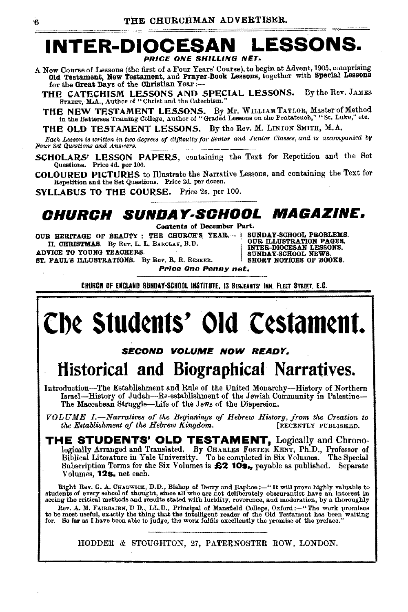### **LESSONS. INTER-DIOCES**

A New Course of Lessons (the first of a Four Years' Course), to begin at Advent, 1905, comprising Old Testament, New Testament, and Prayer-Book Lessons, together with Special Lessons for the Great Days of the Christian Year :-

THE CATECHISM LESSONS AND SPECIAL LESSONS. By the Rev. JAMES STREET, M.A., Author of "Christ and the Catechism."

THE NEW TESTAMENT LESSONS. By Mr. WILLIAM TATLOR, Master of Method in the Battersea Training College, Author of "Graded Lessons on the Pentateuch," "St. Luke," etc.

THE OLD TESTAMENT LESSONS. By the Rev. M. LINTON SMITH, M.A.

Each Lesson is written in two degrees of difficulty for Senior and Junior Classes, and is accompanied by Four Set Questions and Answers.

SCHOLARS' LESSON PAPERS, containing the Text for Repetition and the Set Questions. Price 4d. per 100.

COLOURED PICTURES to Illustrate the Narrative Lessons, and containing the Text for Repetition and the Set Questions. Price 2d. per dozen.

SYLLABUS TO THE COURSE. Price 2s. per 100.

### Church Sunday.School Magazine.

Contents of December Part.

OUR HERITAGE OF BEAUTY : THE CHURCH'S YEAR.- I II. CHRISTMAS. By Rev. L. L. BARCLAY, B.D. **ADVICE TO YOUNG TEACHERS.** ST. PAUL'S ILLUSTRATIONS. By Rev. R. R. RESKER.

Price One Penny net.

SUNDAY-SCHOOL PROBLEMS.<br>OUR ILLUSTRATION PAGES.<br>INTER-DIOCESAN LESSONS.<br>SUNDAY-SCHOOL NEWS. SHORT NOTICES OF BOOKS.

CHURCH OF ENGLAND SUNDAY-SCHOOL INSTITUTE, I3 SERJEANTS' INN, FLEET STREET, E.C.

## Che Students' Old Cestament.

SECOND VOLUME NOW READY.

### Historical and Biographical Narratives.

Introduction-The Establishment and Rule of the United Monarchy-History of Northern Israel-History of Judah-Re-establishment of the Jewish Community in Palestine-The Maccabean Struggle-Life of the Jews of the Dispersion.

VOLUME I.-Narratives of the Beginnings of Hebrew History, from the Creation to [RECENTLY PUBLISHED. the Establishment of the Hebrew Kingdom.

THE STUDENTS' OLD TESTAMENT, Logically and Chronologically Arranged and Translated. By CHARLES FOSTER KENT, Ph.D., Professor of Biblical Literature in Yale University. To be completed in Six Volumes. The Special Subscription Terms for the Six Volumes is £2 10s., payable as published. Separate Volumes, 128. net each.

Right Rev. G. A. CHADWICK, D.D., Bishop of Derry and Raphoe: - "It will prove highly valuable to students of every school of thought, since all who are not deliberately obscurantist have an interest in seeing the critical methods and results stated with lucidity, reverence, and moderation, by a thoroughly

Rev. A. M. FAIRBAIRN, D.D., LL.D., Principal of Mansfield College, Oxford:--"The work promises<br>to be most useful, exactly the thing that the intelligent reader of the Old Testament has been waiting<br>for. So far as I have be

HODDER & STOUGHTON, 27, PATERNOSTER ROW, LONDON.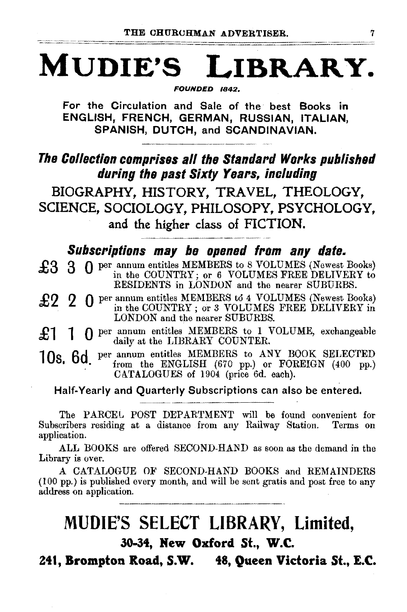# MUDIE'S LIBRARY.

FOUNDED 1842.

For the Circulation and Sale of the best Books in ENGLISH, FRENCH, GERMAN, RUSSIAN, ITALIAN, SPANISH, DUTCH, and SCANDINAVIAN.

### The Collection comprises all the Standard Works published during the past Sixty Years, including

BIOGRAPHY, HISTORY, TRAVEL, THEOLOGY, SCIENCE, SOCIOLOGY, PHILOSOPY, PSYCHOLOGY, and the higher class of FICTION.

### Subscriptions may be opened from any date.

| £3 3 0 per annum entitles MEMBERS to 8 VOLUMES (Newest Books) in the COUNTRY; or 6 VOLUMES FREE DELIVERY to<br>RESIDENTS in LONDON and the nearer SUBURBS. |
|------------------------------------------------------------------------------------------------------------------------------------------------------------|
|                                                                                                                                                            |

RESIDENTS in LONDON and the nearer SUBURBS.<br> **£2** 2 0 per annum entitles MEMBERS to 4 VOLUMES (Newest Books) in the COUNTRY; or 3 VOLUMES FREE DELIVERY in LONDON and the nearer SUBURBS.

£1 1 0 per annum entitles MEMBERS to 1 VOLUME, exchangeable daily at the LIBRARY COUNTER.

10s. 6d per annum entitles MEMBERS to ANY BOOK SELECTED from the ENGLISH  $(670 \text{ pp.})$  or FOREIGN  $(400 \text{ pp.})$ CATALOGUES of 1904 (price 6d. each).

Half-Yearly and Quarterly Subscriptions can also be entered.

The PARCEL POST DEPARTMENT will be found convenient for Subscribers residing at a distance from any Railway Station. Terms on application.

ALL BOOKS are offered SECOND-HAND as soon as the demand in the Library is over.

A CATALOGUE OF SECOND-HAND BOOKS and REMAINDERS (100 pp.) is published every month, and will be sent gratis and post free to any address on application.

### MUDIE'S SELECT LIBRARY, Limited, 30-34, Hew Oxford St., W.C.

Z41, Brompton Road, S.W. 48, Queen Victoria St., E.C.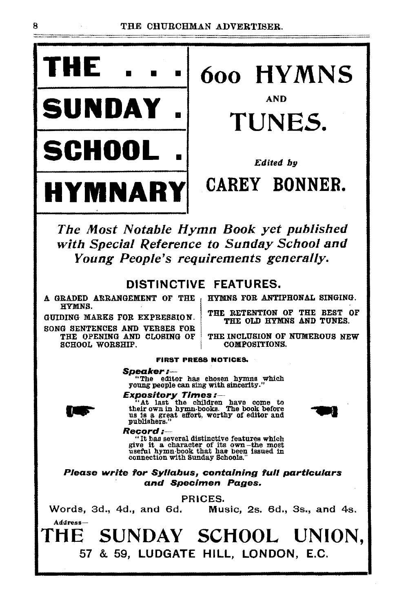

• TUNES.

The Most Notable Hymn Book yet published with Special Reference to Sunday School and Young People's requirements generally.

#### DISTINCTIVE FEATURES.

A GRADED ARRANGEMENT OF THE HYMNS.

GUIDING MARKS FOR EXPRESSION. SONG SENTENCES AND VERSES FOR<br>THE OPENING AND CLOSING OF SCHOOL WORSHIP.

HYMNS FOR ANTIPHONAL SINGING.

THE RETENTION OF THE BEST OF THE OLD HYMNS AND TUNES.

THE INCLUSION OF NUMEROUS NEW COMPOSITIONS.

#### FIRST PRESS NOTICES.

**Speaker:**---<br>"The editor has chosen hymns which<br>young people can sing with sincerity."

Address-

**Expository Times:**<br>
"At last the children have come to<br>
their own in hymn-books. The book before<br>
us is a great effort, worthy of editor and<br>
publishers."



#### Record:-

" It has several distinctive features which The has several distinctive reatures which<br>give it a character of its own -the most<br>useful hymn-book that has been issued in connection with Sunday Schools,"

Please write for Syllabus, containing full particulars and Specimen Pages.

PRICES.

Words, 3d., 4d., and 6d. Music, 2s. 6d., 3s., and 4s.

THE SUNDAY SCHOOL UNION, 57 & 59, LUDGATE HILL, LONDON, E.C.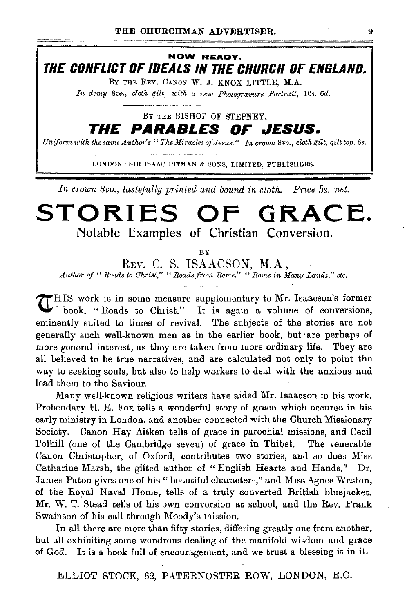**NOW READY. THE CONFLICT OF IDEALS IN THE CHURCH OF ENGLAND.** 

BY THE REV. CANON W. J. KNOX LITTLE, M.A.

*In demy 8vo., cloth gilt, with a new Photogramize Portrait, 10s. 6d.* 

BY THE BISHOP OF STEPNEY.

**THE PARABLES OF JESUS.** 

*Uniform with the same Author's "The Miracles of Jesus." In crown 8vo., cloth gilt, gilt top, 6s.* 

LONDON : SIR ISAAC PITMAN & SONS, LIMITED, PUBLISHERS.

*In crown 8vo., tastefully printed and bound in cloth. Price 5s. net.* 

### **STORIES OF GRACE. Notable Examples of Christian Conversion.**

BY

*REv.* C. S. ISAACSON, M,A., *Author of " Roads to Christ," " Roads from Rome," " Rome in Many Lands," etc.* 

 $\mathcal{T}$ HIS work is in some measure supplementary to Mr. Isaacson's former **\.I,;** ' book, " Roads to Christ." It is again a volume of conversions, eminently suited to times of revival. The subjects of the stories are not generally such well-known men as in the earlier book, but ·are perhaps of more general interest, as they are taken from more ordinary life. They are all believed to be true narratives, and are calculated not only to point the way to seeking souls, but also to help workers to deal with the anxious and lead them to the Saviour.

Many well-known religious writers have aided Mr. Isaacson in his work. Prebendary H. E. Fox tells a wonderful story of grace which occured in his early ministry in London, and another connected with the Church Missionary Society. Canon Hay Aitken tells of grace in parochial missions, and Cecil Polhill (one of the Cambridge seven) of grace in Thibet. The venerable Canon Christopher, of Oxford, contributes two stories, and so does Miss Catharine Marsh, the gifted author of "English Hearts and Hands." Dr. James Paton gives one of his" beautiful characters," and Miss Agnes Weston, of the Royal Naval Home, tells of a truly converted British bluejacket. Mr. W. T. Stead tells of his own conversion at school, and the Rev. Frank Swainson of his call through Moody's mission.

In all there are more than fifty stories, differing greatly one from another, but all exhibiting some wondrous dealing of the manifold wisdom and grace of God. It is a book full of encouragement, and we trust a blessing is in it.

ELLIOT STOCK, 62, PATERNOSTER ROW, LONDON, E.C.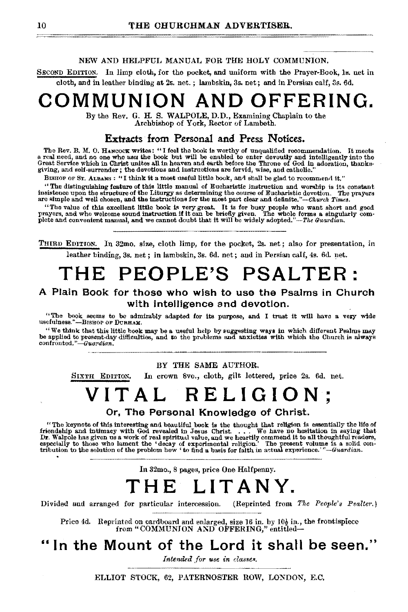#### NEW AND HELPFUL MANUAL FOR THE HOLY COMMUNION.

SECOND EDITION. In limp cloth, for the pocket, and uniform with the Prayer-Book, ls. net in cloth, and in leather binding at 2s. net. ; lambskin, 3s. net; and in Persian calf, 3s. 6d.

### **COMMUNION AND OFFERING.**

By the Rev. G. H. S. WALPOLE, D. **D.,** Examining Chaplain to the Archbishop of York, Rector of Lambeth.

#### **Extracts from Personal and Press Notices.**

The Rev. B. M. O. HANCOOK writes: "I feel the book is worthy of unqualified recommendation. It meets<br>a real need, and no one who uses the book but will be enabled to enter devoutly and intelligently into the<br>Great Service giving, and self.surrender; the devotions and instructions are fervid, wise, and catholic."

BISHOP OF ST. ALBANS: "I think it a most useful little book, and shall be glad to recommend it."

The distinguishing feature of this little manual of Eucharistic instruction and worship is constant insistence upon the structure of the Liturgy as determining the course of Eucharistic devotion. The prayers are simple and

"The value of this excellent little book is very great. It is for busy people who want short and good prayers, and who welcome sound instruction if it can be briefly given. <sup>"</sup>The whole forms a singularly com-<br>plcte and convenient manual, and we cannot doubt that it will be widely adopted."--*The Guardian*.

THIRD EDITION. In 32mo. size, cloth limp, for the pocket, 2s. net; also for presentation, in leather binding, 3s. net ; in lambskin, 3s. 6d. net; and in Persian calf, 4s. 6d net.

## **THE PEOPLE'S PSALTER:**

#### **A Plain Book for those who wish to use the Psalms in Church with intelligence and devotion.**

"The book seems to be admirably adapted for its purpose, and I trust it will have a very wide usefulness."—BISHOP OF DURHAM.<br>"We think that this little book may be a useful help by suggesting ways in which different Psalms may

be applied to present thay difficulties, and to the problems and anxieties with which the Church is always<br>confronted."-Guardian, difficulties, and to the problems and anxieties with which the Church is always

BY THE SAME AUTHOR.

SIXTH EDITION, In crown 8vo., cloth, gilt lettered, price 2s. 6d. net.

### **VITAL RELIGION**

**Or, The Personal Knowledge of Christ.** '

The keynote of this interesting and beautiful book is the thought that religion is essentially the life of "<br>friendship and intimacy with God revealed in Jesus Christ. . . . We have no hesitation in saying that<br>Dr. Walpole especially to those who lament the 'decay of experimental rellgion.' The present volume is a solid con- tribution to the solution of the problem how 'to find a baa!s for faith in aotual experience.' *"-Guardian.* 

In 32mo., 8 pages, price One Halfpenny.

### **THE LITANY.**

Divided and arranged for particular intercession. (Reprinted from The People's Psalter.)

Price 4d. Reprinted on cardboard and enlarged, size 16 in. by  $10\frac{1}{2}$  in., the frontispiece from "COMMUNION AND OFFERING," entitled-

### **"In the Mount of the Lord it shall be seen."**

*Intended for use in classes.* 

ELLIOT STOCK, 62, PATERNOSTER ROW, LONDON, E.C.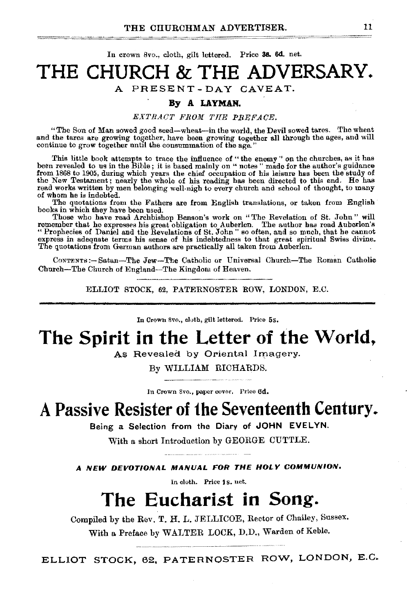In crown Svo., cloth, gilt lettered. Price 38. 6d. net.

### **THE CHURCH & THE ADVERSARY.**  A PRESENT-DAY CAVEAT.

#### **By A LAYMAN.**

#### *EXTRAOT FR0111 THE PREFAOE.*

"The Son of Man sowed good seed-wheat-in the world, the Devil sowed tares. The wheat and the tares are growing together, have been growing together all through the ages, and will continue to grow together until the consummation of the age."

This little book attempts to trace the influence of "the enemy" on the churches, as it has been revealed to us in the Bible; it is based mainly on "notes " made for the author's guidance from 1868 to 1905, during which years the chief occupation of his leisure has been the study of the *New* Testament; nearly the whole of his reading has been directed to this end. He has read works written by men belonging well·nigh to every church and school of thought, to many of whom he is indebted.

The quotations from the Fathers are from English translations, or taken from English books in which they have been used.

Those who have read Archbishop Benson's work on "The Revelation of St. John" will<br>remember that he expresses his great obligation to Auberlen. The author has read Auberlen's<br>"Prophecies of Daniel and the Revelations of St. The quotations from German authors are practically all taken from Auberlen.

CoNTENTS:- Satan-The Jew-The Catholic or Universal Church-The Roman Catholic Church-The Church of England-The Kingdom of Heaven.

ELLIOT STOCK, 62, PATERNOSTER ROW, LONDON, E.C.

In Crown 8vo., cloth, gilt lettered. Price 5s.

### **The Spirit in the Letter of the World,**

As Revealed by Oriental Imagery.

By WILLIAM RICHARDS.

In Crown Svo., paper cover. Price 6d.

### **A Passive Resister of 1he Seventeenth Century.**

Being a Selection from the Diary of **JOHN EVELYN.** 

With a short Introduction by GEORGE CUTTLE.

**A NEW DEVOTIONAL MANUAL FOR THE HOLY COMMUNION.** 

In cloth. Price 1s. net.

### **The Eucharist in Song.**

Compiled by the Rev. T. H. L. JELLICOE, Rector of Chailey, Sussex. With a Preface by WALTER LOCK, D.D., Warden of Keble.

ELLIOT STOCK, 62, PATERNOSTER ROW, LONDON, E.C.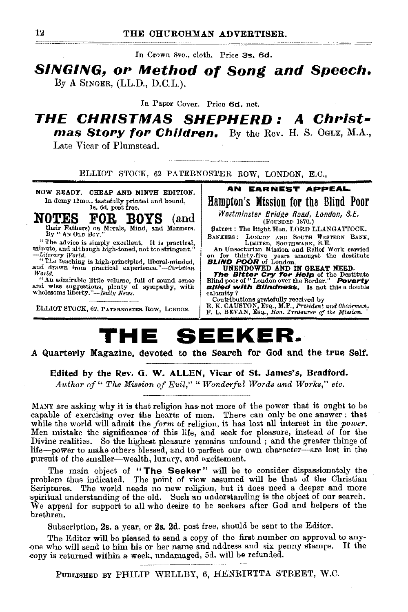In Crown 8vo., cloth. Price 3s. 6d.

#### **SINGING, or Method of Song and Speech.**  $By A$  SINGER, (LL.D., D.C.L.).

In Paper Cover. Price 6d. net.

### **THE CHRISTMAS SHEPHERD: A Christmas Story for Children.** By the Rev. H. S. OGLE, M.A.,

Late Vicar of Plumstead.

ELLIOT STOCK, 62 PATERNOSTER ROW, LONDON, E.C.,

NOW READY. OHEAP AND NINTH EDITION. In demy 12mo., tastefully printed and bound,<br>1s. 6d. post free.

### ULLIS FOR BOYS (and their Fathers) on Morals, Mind, and Manners.<br>By "AN OLD BOY." **NOTES**

"The advice is simply excellent. It is practical, minute, and although high-toned, not too stringent. Literary World.<br>"The teaching is high-principled. liberal-minded.

and drawn from practical experience."-Christian World.

"An admirable little volume, full of sound sonse and wise suggestions, plenty of sympathy, with wholesome liberty."- Daily News.

ELLIOT STOCK, 62, PATERNOSTER ROW, LONDON.

AN EARNEST APPEAL

Hampton's Mission for the Blind Poor

Westminster Bridge Road, London, S.E. (FOUNDED 1870.)

Batron : The Right Hon. LORD LLANGATTOCK. BANKERS: LONDON AND SOUTH WESTERN BANK, LIMITED, SOUTHWARK, S.E.

An Unsectarian Mission and Relief Work carried

an unsecuring mission and neuron wave carried<br>on for thirty-five years amongst the destitute<br>**BLIND POOR** of London.<br>**UNENDOWED AND IN GREAT NEED.**<br>**The BItter Cry for Help** of the Destitute<br>Blind poor of "London over the allied with Blindness. Is not this a double calamity?

Contributions gratefully received by<br>R. K. CAUSTON, Esq., M.P., President and Chairman.<br>F. L. BEVAN, Esq., Hon. Treasurer of the Mission.

### THE SEEKER,

#### A Quarterly Magazine, devoted to the Search for God and the true Self.

Edited by the Rev. G. W. ALLEN, Vicar of St. James's, Bradford.

Author of " The Mission of Evil," "Wonderful Words and Works," etc.

MANY are asking why it is that religion has not more of the power that it ought to be capable of exercising over the hearts of men. There can only be one answer: that while the world will admit the form of religion, it has lost all interest in the power. Men mistake the significance of this life, and seek for pleasure, instead of for the Divine realities. So the highest pleasure remains unfound; and the greater things of life---power to make others blessed, and to perfect our own character---are lost in the pursuit of the smaller—wealth, luxury, and excitement.

The main object of "The Seeker" will be to consider dispassionately the problem thus indicated. The point of view assumed will be that of the Christian Scriptures. The world needs no new religion, but it does need a deeper and more spiritual understanding of the old. Such an understanding is the object of our search. We appeal for support to all who desire to be seekers after God and helpers of the brethren.

Subscription, 2s. a year, or 2s. 2d. post free, should be sent to the Editor.

The Editor will be pleased to send a copy of the first number on approval to anyone who will send to him his or her name and address and six penny stamps. If the copy is returned within a week, undamaged, 5d. will be refunded.

PUBLISHED BY PHILIP WELLBY, 6, HENRIETTA STREET, W.C.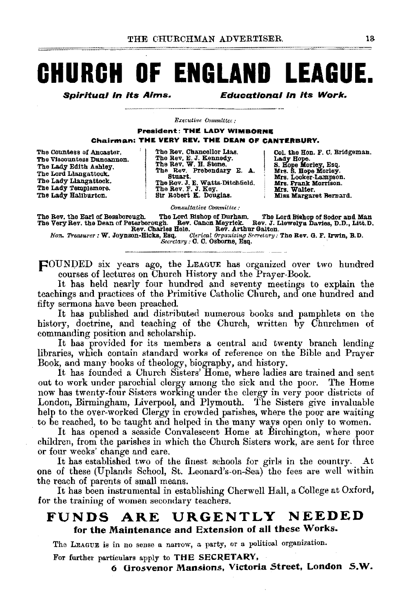## **CHURCH OF ENGLAND LEAGUE.**

Spiritual In Its Alms. Educational In its Work.

*Executive Committee:* 

President: THE LADY WIMBORNE Chairman: THE VERY REV, THE DEAN OF CANTERBURY.

The countess of Anoaster. The Viscountess Duncannon. The Lady Edith Ashley. The Lord Llangattock. The Lady Llangattook. The Lady Templemore.<br>The Lady Haliburton.

The Rev. Chancellor Lias. The Rev, E. J. Kennedy. The Rev. W. H. Stone. The Rev. Prebendary E. A. Stuart. The Rev. J. E. Watts-Dltohfield. The Rev. F. J. Key. Sir Robert K. Douglas.

Col. the Hon. F. C. Bridgeman. Lady Hope.<br>S. Hope Morley, Esq. Mrs. S. Hope Morley.<br>Mrs. Looker-Lampson. Mrs. Frank Morrison.<br>Mrs. Walter. Miss Margaret Bernard.

*c.msultative Committee:*  The Rev, the Earl of Bessborough. The Lord Bishop of Durham. The Lord Bishop of Sodor and Man<br>The Very Rev, the Dean of Peterborough. Rev. Canon Meyrick. Rev. J. Llewelyn Davies, D.D., Litt.D.<br>Hon. Treasurer: W. Joynson-Hi

pOUNDED six years ago, the LEAGUE has organized over two hundred courses of lecturei3 on Church History and the Prayer-Book.

It has held nearly four hundred and seventy meetings to explain the teachings and practices of the Primitive Catholic Church, and one hundred and fifty sermons have been preached.

It has published and distributed numerous books and pamphlets on the history, doctrine, and teaching of the Church, written by Churchmen of commanding position and scholarship.

It has provided for its members a central and twenty branch lending libraries, which contain standard works of reference on the Bible and Prayer Book, and many books of theology, biography, and history.

It has founded a Church Sisters' Home, where ladies are trained and sent out to work under parochial clergy among the sick and the poor. The Home now has twenty-four Sisters working under the clergy in very poor districts of London, Birmingham, Liverpool, and Plymouth. The Sisters give invaluable help to the over-worked Clergy in crowded parishes, where the poor are waiting

to be reached, to be taught and helped in the many ways open only to women. It has opened a seaside Convalescent Home at Birchington, where poor children, from the parishes in which the Church Sisters work, are sent for three

or four weeks' change and care. It has established two of the finest schools for girls in the country. At one of these (Uplands School, St. Leonard's-on-Sea) the fees are well within

the reach of parents of small means. It has been instrumental in establishing Cherwell Hall, a College at Oxford, for the training of women secondary teachers.

### FUNDS ARE URGENTLY NEEDED for the Maintenance and Extension of all these Works.

The LEAGUE is in no sense a narrow, a party, or a political organization.

For further particulars apply to THE SECRETARY,

6 Grosvenor Mansions, Victoria Street, London S.W.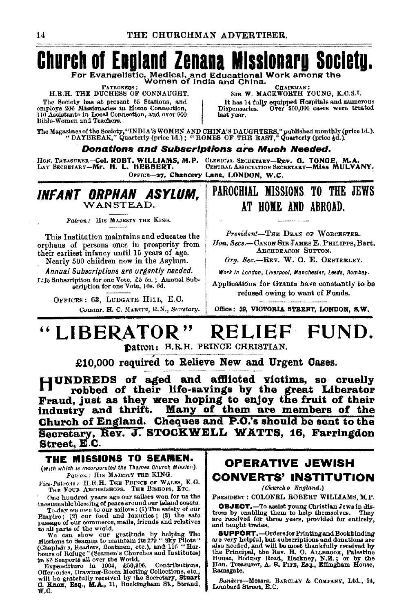### **Church of England Zenana Missionary Society.** For Evangelistic, Medical, and Educational Work among the<br>For Evangelistic, Medical, and Educational Work among the

PATRONESS : H.R.H. THE DUCHESS OF CONNAUGHT.

The Society has at present 65 Stations, and employs 206 Missionaries in Home Connection, 116 Assistants in Local Connection, and over 900 Bible-Women and Teachers.

Снаикман: SIR W. MACKWORTH YOUNG, K.O.S.I.

It has 14 fully equipped Hospitals and numerous<br>ispensaries. Over \$00,000 cases were treated Dispensaries. last year.

The Magazines of the Society, "INDIA'S WOMEN AND CHINA'S DAUGHTERS," published monthly (price 1d.).<br>"DAYBREAK," Quarterly (price 1d.); "HOMES OF THE EAST," Quarterly (price 4d.).

#### **Donations and Subscriptions are Much Needed.**

HON. TREASURER-Col. ROBT. WILLIAMS, M.P. CLERICAL SECRETARY-Rev. G. TONGE.<br>LAY SECRETARY-Mr. H. L. HEBBERT. CENTRAL ASSOCIATION SECRETARY-MISS M

CLERICAL SECRETARY-Rev. G. TONGE, M.A.<br>CENTRAL ASSOCIATION SECRETARY-MISS MULVANY. OFFICE-27. Chancery Lane, LONDON, W.C.

#### INFANT ORPHAN ASYLUM, WANSTEAD.

Patron: HIS MAJESTY THE KING.

This Institution maintains and educates the orphans of persons once in prosperity from<br>their earliest infancy until 15 years of age.

Nearly 500 children now in the Asylum. Annual Subscriptions are urgently needed.

Life Subscription for one Vote, £5 5s.; Annual Subscription for one Vote, 10s. 6d.

OFFICES: 63, LUDGATE HILL, E.C. Commr. H. C. MARTIN, R.N., Secretary.

### PAROCHIAL MISSIONS TO THE JEWS AT HOME AND ABROAD.

President-THE DEAN OF WORCESTER. Hon. Secs.-CANON STR JAMES E. PHILIPPS, Bart. ARCHDEACON SUTTON.

Org. Sec.-REV. W. O. E. OESTERLEY.

Work in London, Liverpool, Manchester, Leeds, Bombay.

Applications for Grants have constantly to be refused owing to want of Funds.

Office: 39, VICTORIA STREET, LONDON, S.W.

#### "LIBERATOR" RELIEF FUND. Datron: H.R.H. PRINCE CHRISTIAN.

£10.000 required to Relieve New and Urgent Cases.

HUNDREDS of aged and afflicted victims, so cruelly robbed of their life-savings by the great Liberator Fraud, just as they were hoping to enjoy the fruit of their industry and thrift. Many of them are members of the Church of England. Cheques and P.O.'s should be sent to the Secretary, Rev. J. STOCKWELL WATTS, 16, Farringdon Street, E.C.

#### THE MISSIONS TO SEAMEN.

(With which is incorporated the Thames Church Mission). Patron: His MAJESTY THE KING.

Vice-Patrons: H.R.H. THE PRINCE OF WALES, K.G.<br>THE FOUR ARCHBISHOPS. THE BISHOPS, ETC.

One hundred years ago our sailors won for us the

One hundred years ago our sailors won for us the inestimable blessing of peace around our Island coasts.<br>
To-day we over uo ur sailors : (1) The safety of our sampler Empire; (2) our food and luxuries; (3) the safety our

### **OPERATIVE JEWISH** CONVERTS' INSTITUTION

(Church o England.)

PRESIDENT : COLONEL ROBERT WILLIAMS, M.P.

**OBJECT.**-To assist young Christian Jews in distress by onabling them to help themselves. They are received for three years, provided for entirely, and taught trades.

**SUPPORT.**-Ordersfor Printing and Bookbinding<br>are very helpful, but aubscriptions and donations are<br>also needed, and will be most thankfully received by also heefed, and will be most thank truly received by<br>the Principal, the Rev. H. O. ALLEROOK, Palestine<br>House, Bodney Road, Heckney, N.E.; or by the<br>Hon. Treasurer, A. R. Pirz, Esq., Effingham House, Ramsgate.

Bankers-Messrs, BARCLAY & COMPANY, Ltd., 54, Lombard Street, E.C.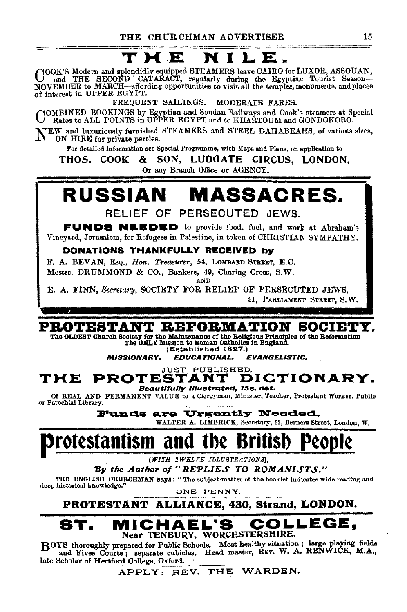### ~-~---:: --~·-~-··~-·~--~-- THE NILE.

COOK'S Modern and splendidly equipped STEAMERS leave CAIRO for LUXOR, ASSOUAN,<br>NOVEMBER to MARCH—affording opportunities to visit all the temples, monuments, and places of interest in UPPER EGYPT.

FREQUENT SAILINGS. MODERATE FARES.

COMBINED BOOKINGS by Egyptian and Soudan Railways and Cook's steamers at Special Rates to ALL POINTS in UPPER EGYPT and to KHARTOUM and GONDOKORO.

NEW and luxuriously furnished STEAMERS and STEEL DAHABEAHS, of various sizes, ON HIRE for private parties.

For detailed information see Special Programme, with Maps and Plans, on application to

THOS. COOK & SON, LUDOATE CIRCUS, LONDON, Or any Branch Office or AGENCY.

## RUSSIAN MASSACRES.

RELIEF OF PERSECUTED JEWS.

FUNDS NBEDED to provide food, fuel. and work at Abraham's Vineyard, Jerusalem, for Refugees in Palestine, in token of CHRISTIAN SYMPATHY.

#### DONATIONS THANKFULLY REOEIVED by

F. A. BEVAN, EsQ., *Hon. Treasurer,* 64, LoMBARD 8TBEET, E.C.

Messrs. DRUMMOND & CO., Bankers, 49, Charing Cross, S.W.

AND

E. A. FINN, *Secretary,* SOCIETY FOR RELIEF OF PERSECUTED JEWS, 41, PARLIAMENT STREET, S. W.

### PROTESTANT BBFOBDIATION SOCIETY.

The OLDEST Church Society for the Maintenance of the Religious Principles of the Reformation The ONLY Mission to Roman Catholics in England.

(Established 1827.)<br>**EDUCATIONAL.** MISSIONARY. EDUCATIONAL. EVANGELISTIC.

#### **JUST PUBLISHED.**<br>STANT DICTIONARY. THE PROTESTANT Beautlf'ully Illustrated, t5s. net.

Of REAL AND PERMANENT VALUE to a Clergyman, Minister, Teacher, Protestant Worker, Public or Parochial Library.

Funds are Urgently Needed. WALTER A. LIMBRICK, Secretary, 62, Berners Street, London, W.

## otestantism and

*(WITH 1'WELVE ILLUSTRATIONS),* 

**By the Author of "REPLIES TO ROMANISTS."**<br>THE ENGLISH OBUBOHMAN says: " The subject-matter of the booklet indicates wide roading and deep historical knowledge." ONE PENNY.

PROTESTANT ALLIANCE, 430, Strand, LONDON.

#### MICHAEL'S COLLEGE, Near TENBURY, WORCESTERSHIRE.

BOYS thoroughly prepared for Public Schools. Most healthy situation; large playing fields and Fives Courts; separate cubicles. Head master, REV. W. A. RENWICK, M.A., late Scholar of Hertford College, Oxford.

APPLY: REV. THE WARDEN.